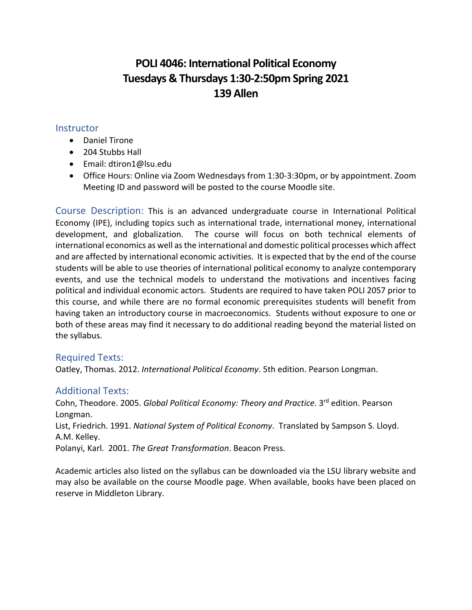# **POLI 4046: International Political Economy Tuesdays & Thursdays 1:30-2:50pm Spring 2021 139 Allen**

#### **Instructor**

- Daniel Tirone
- 204 Stubbs Hall
- Email: dtiron1@lsu.edu
- Office Hours: Online via Zoom Wednesdays from 1:30-3:30pm, or by appointment. Zoom Meeting ID and password will be posted to the course Moodle site.

Course Description: This is an advanced undergraduate course in International Political Economy (IPE), including topics such as international trade, international money, international development, and globalization. The course will focus on both technical elements of international economics as well as the international and domestic political processes which affect and are affected by international economic activities. It is expected that by the end of the course students will be able to use theories of international political economy to analyze contemporary events, and use the technical models to understand the motivations and incentives facing political and individual economic actors. Students are required to have taken POLI 2057 prior to this course, and while there are no formal economic prerequisites students will benefit from having taken an introductory course in macroeconomics. Students without exposure to one or both of these areas may find it necessary to do additional reading beyond the material listed on the syllabus.

#### Required Texts:

Oatley, Thomas. 2012. *International Political Economy*. 5th edition. Pearson Longman.

## Additional Texts:

Cohn, Theodore. 2005. *Global Political Economy: Theory and Practice*. 3rd edition. Pearson Longman. List, Friedrich. 1991. *National System of Political Economy*. Translated by Sampson S. Lloyd. A.M. Kelley. Polanyi, Karl. 2001. *The Great Transformation*. Beacon Press.

Academic articles also listed on the syllabus can be downloaded via the LSU library website and may also be available on the course Moodle page. When available, books have been placed on reserve in Middleton Library.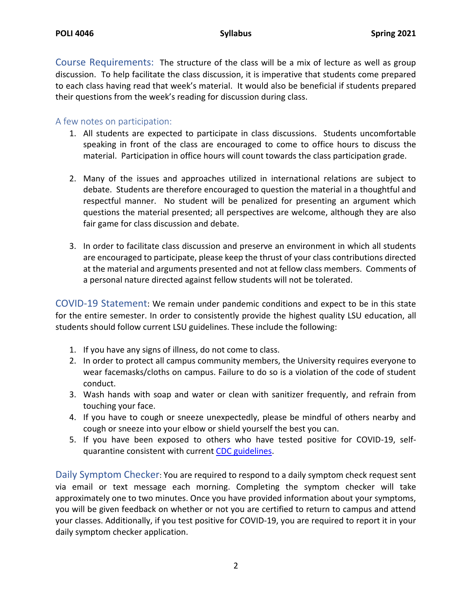Course Requirements: The structure of the class will be a mix of lecture as well as group discussion. To help facilitate the class discussion, it is imperative that students come prepared to each class having read that week's material. It would also be beneficial if students prepared their questions from the week's reading for discussion during class.

#### A few notes on participation:

- 1. All students are expected to participate in class discussions. Students uncomfortable speaking in front of the class are encouraged to come to office hours to discuss the material. Participation in office hours will count towards the class participation grade.
- 2. Many of the issues and approaches utilized in international relations are subject to debate. Students are therefore encouraged to question the material in a thoughtful and respectful manner. No student will be penalized for presenting an argument which questions the material presented; all perspectives are welcome, although they are also fair game for class discussion and debate.
- 3. In order to facilitate class discussion and preserve an environment in which all students are encouraged to participate, please keep the thrust of your class contributions directed at the material and arguments presented and not at fellow class members. Comments of a personal nature directed against fellow students will not be tolerated.

COVID-19 Statement: We remain under pandemic conditions and expect to be in this state for the entire semester. In order to consistently provide the highest quality LSU education, all students should follow current LSU guidelines. These include the following:

- 1. If you have any signs of illness, do not come to class.
- 2. In order to protect all campus community members, the University requires everyone to wear facemasks/cloths on campus. Failure to do so is a violation of the code of student conduct.
- 3. Wash hands with soap and water or clean with sanitizer frequently, and refrain from touching your face.
- 4. If you have to cough or sneeze unexpectedly, please be mindful of others nearby and cough or sneeze into your elbow or shield yourself the best you can.
- 5. If you have been exposed to others who have tested positive for COVID-19, selfquarantine consistent with current [CDC guidelines.](https://www.cdc.gov/coronavirus/2019-ncov/index.html)

Daily Symptom Checker: You are required to respond to a daily symptom check request sent via email or text message each morning. Completing the symptom checker will take approximately one to two minutes. Once you have provided information about your symptoms, you will be given feedback on whether or not you are certified to return to campus and attend your classes. Additionally, if you test positive for COVID-19, you are required to report it in your daily symptom checker application.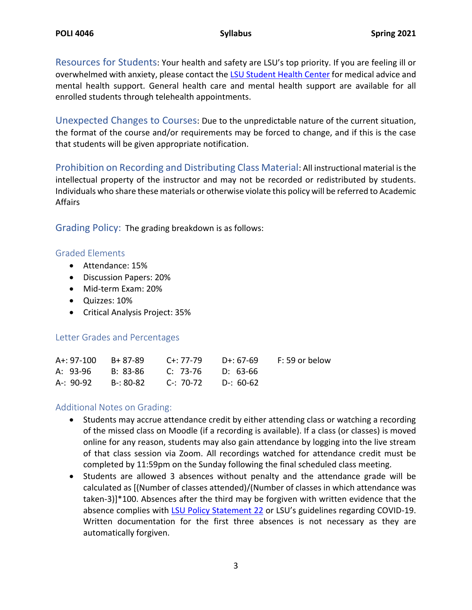Resources for Students: Your health and safety are LSU's top priority. If you are feeling ill or overwhelmed with anxiety, please contact th[e LSU Student Health Center](https://lsu.edu/shc/) for medical advice and mental health support. General health care and mental health support are available for all enrolled students through telehealth appointments.

Unexpected Changes to Courses: Due to the unpredictable nature of the current situation, the format of the course and/or requirements may be forced to change, and if this is the case that students will be given appropriate notification.

Prohibition on Recording and Distributing Class Material: All instructional material is the intellectual property of the instructor and may not be recorded or redistributed by students. Individuals who share these materials or otherwise violate this policy will be referred to Academic Affairs

Grading Policy:The grading breakdown is as follows:

#### Graded Elements

- Attendance: 15%
- Discussion Papers: 20%
- Mid-term Exam: 20%
- Quizzes: 10%
- Critical Analysis Project: 35%

#### Letter Grades and Percentages

|  |                                         | A+: 97-100 B+ 87-89 C+: 77-79 D+: 67-69 F: 59 or below |
|--|-----------------------------------------|--------------------------------------------------------|
|  | A: 93-96 B: 83-86 C: 73-76 D: 63-66     |                                                        |
|  | A-: 90-92 B-: 80-82 C-: 70-72 D-: 60-62 |                                                        |

#### Additional Notes on Grading:

- Students may accrue attendance credit by either attending class or watching a recording of the missed class on Moodle (if a recording is available). If a class (or classes) is moved online for any reason, students may also gain attendance by logging into the live stream of that class session via Zoom. All recordings watched for attendance credit must be completed by 11:59pm on the Sunday following the final scheduled class meeting.
- Students are allowed 3 absences without penalty and the attendance grade will be calculated as [(Number of classes attended)/(Number of classes in which attendance was taken-3)]\*100. Absences after the third may be forgiven with written evidence that the absence complies with **LSU Policy Statement 22** or LSU's guidelines regarding COVID-19. Written documentation for the first three absences is not necessary as they are automatically forgiven.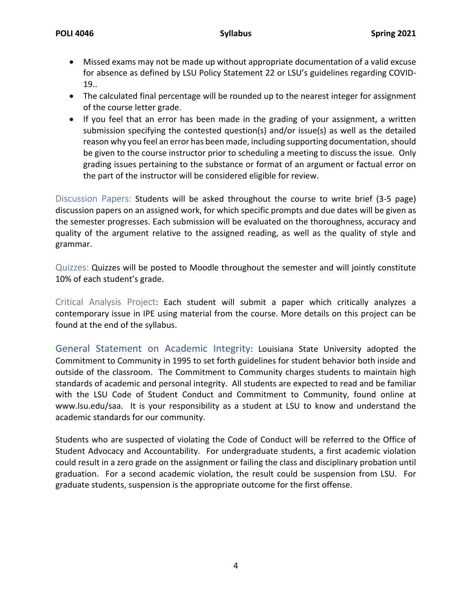- Missed exams may not be made up without appropriate documentation of a valid excuse for absence as defined by LSU Policy Statement 22 or LSU's guidelines regarding COVID-19..
- The calculated final percentage will be rounded up to the nearest integer for assignment of the course letter grade.
- If you feel that an error has been made in the grading of your assignment, a written submission specifying the contested question(s) and/or issue(s) as well as the detailed reason why you feel an error has been made, including supporting documentation, should be given to the course instructor prior to scheduling a meeting to discuss the issue. Only grading issues pertaining to the substance or format of an argument or factual error on the part of the instructor will be considered eligible for review.

Discussion Papers: Students will be asked throughout the course to write brief (3-5 page) discussion papers on an assigned work, for which specific prompts and due dates will be given as the semester progresses. Each submission will be evaluated on the thoroughness, accuracy and quality of the argument relative to the assigned reading, as well as the quality of style and grammar.

Quizzes: Quizzes will be posted to Moodle throughout the semester and will jointly constitute 10% of each student's grade.

Critical Analysis Project: Each student will submit a paper which critically analyzes a contemporary issue in IPE using material from the course. More details on this project can be found at the end of the syllabus.

General Statement on Academic Integrity: Louisiana State University adopted the Commitment to Community in 1995 to set forth guidelines for student behavior both inside and outside of the classroom. The Commitment to Community charges students to maintain high standards of academic and personal integrity. All students are expected to read and be familiar with the LSU Code of Student Conduct and Commitment to Community, found online at [www.lsu.edu/saa.](http://www.lsu.edu/saa) It is your responsibility as a student at LSU to know and understand the academic standards for our community.

Students who are suspected of violating the Code of Conduct will be referred to the Office of Student Advocacy and Accountability. For undergraduate students, a first academic violation could result in a zero grade on the assignment or failing the class and disciplinary probation until graduation. For a second academic violation, the result could be suspension from LSU. For graduate students, suspension is the appropriate outcome for the first offense.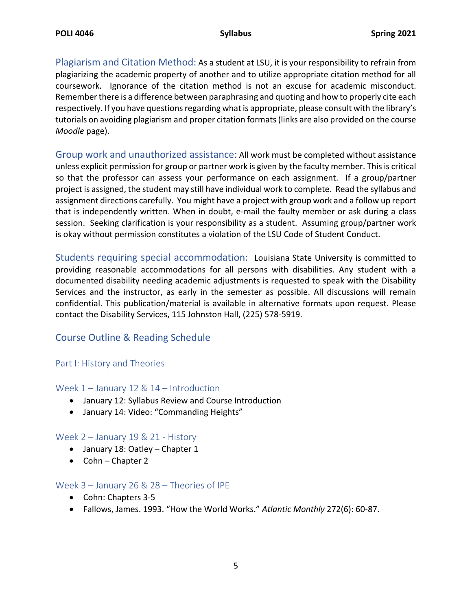Plagiarism and Citation Method: As a student at LSU, it is your responsibility to refrain from plagiarizing the academic property of another and to utilize appropriate citation method for all coursework. Ignorance of the citation method is not an excuse for academic misconduct. Remember there is a difference between paraphrasing and quoting and how to properly cite each respectively. If you have questions regarding what is appropriate, please consult with the library's tutorials on avoiding plagiarism and proper citation formats (links are also provided on the course *Moodle* page).

Group work and unauthorized assistance: All work must be completed without assistance unless explicit permission for group or partner work is given by the faculty member. This is critical so that the professor can assess your performance on each assignment. If a group/partner project is assigned, the student may still have individual work to complete. Read the syllabus and assignment directions carefully. You might have a project with group work and a follow up report that is independently written. When in doubt, e-mail the faulty member or ask during a class session. Seeking clarification is your responsibility as a student. Assuming group/partner work is okay without permission constitutes a violation of the LSU Code of Student Conduct.

Students requiring special accommodation:Louisiana State University is committed to providing reasonable accommodations for all persons with disabilities. Any student with a documented disability needing academic adjustments is requested to speak with the Disability Services and the instructor, as early in the semester as possible. All discussions will remain confidential. This publication/material is available in alternative formats upon request. Please contact the Disability Services, 115 Johnston Hall, (225) 578-5919.

## Course Outline & Reading Schedule

#### Part I: History and Theories

#### Week 1 – January 12 & 14 – Introduction

- January 12: Syllabus Review and Course Introduction
- January 14: Video: "Commanding Heights"

#### Week 2 – January 19 & 21 - History

- January 18: Oatley Chapter 1
- Cohn Chapter 2

#### Week 3 – January 26 & 28 – Theories of IPE

- Cohn: Chapters 3-5
- Fallows, James. 1993. "How the World Works." *Atlantic Monthly* 272(6): 60-87.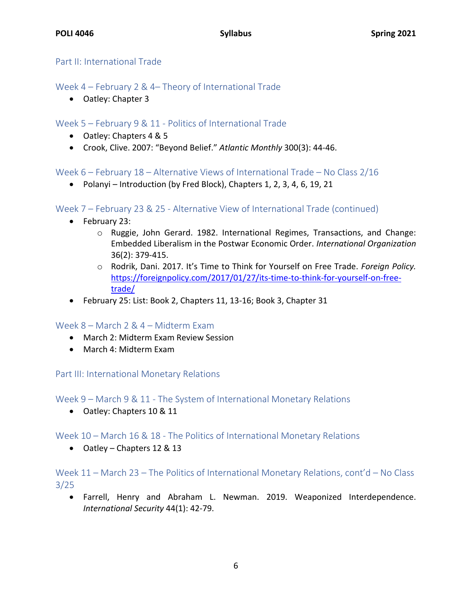#### Part II: International Trade

## Week 4 – February 2 & 4– Theory of International Trade

• Oatley: Chapter 3

### Week 5 – February 9 & 11 - Politics of International Trade

- Oatley: Chapters 4 & 5
- Crook, Clive. 2007: "Beyond Belief." *Atlantic Monthly* 300(3): 44-46.

#### Week 6 – February 18 – Alternative Views of International Trade – No Class 2/16

• Polanyi – Introduction (by Fred Block), Chapters 1, 2, 3, 4, 6, 19, 21

#### Week 7 – February 23 & 25 - Alternative View of International Trade (continued)

- February 23:
	- o Ruggie, John Gerard. 1982. International Regimes, Transactions, and Change: Embedded Liberalism in the Postwar Economic Order. *International Organization* 36(2): 379-415.
	- o Rodrik, Dani. 2017. It's Time to Think for Yourself on Free Trade. *Foreign Policy.* [https://foreignpolicy.com/2017/01/27/its-time-to-think-for-yourself-on-free](https://foreignpolicy.com/2017/01/27/its-time-to-think-for-yourself-on-free-trade/)[trade/](https://foreignpolicy.com/2017/01/27/its-time-to-think-for-yourself-on-free-trade/)
- February 25: List: Book 2, Chapters 11, 13-16; Book 3, Chapter 31

#### Week 8 – March 2 & 4 – Midterm Exam

- March 2: Midterm Exam Review Session
- March 4: Midterm Exam

#### Part III: International Monetary Relations

Week 9 – March 9 & 11 - The System of International Monetary Relations

• Oatley: Chapters 10 & 11

#### Week 10 – March 16 & 18 - The Politics of International Monetary Relations

• Oatley – Chapters 12 & 13

## Week 11 – March 23 – The Politics of International Monetary Relations, cont'd – No Class 3/25

• Farrell, Henry and Abraham L. Newman. 2019. Weaponized Interdependence. *International Security* 44(1): 42-79.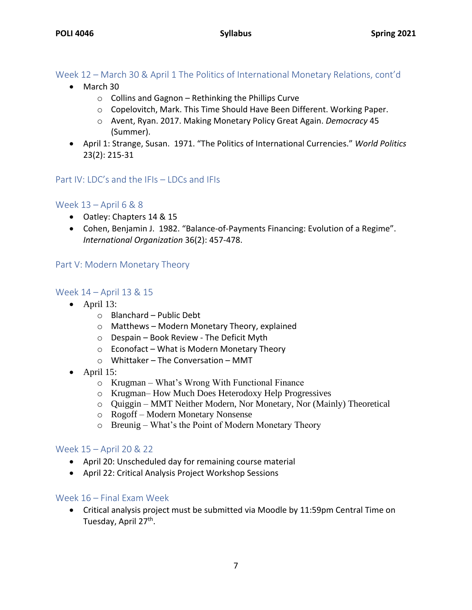## Week 12 – March 30 & April 1 The Politics of International Monetary Relations, cont'd

- March 30
	- $\circ$  Collins and Gagnon Rethinking the Phillips Curve
	- o Copelovitch, Mark. This Time Should Have Been Different. Working Paper.
	- o Avent, Ryan. 2017. Making Monetary Policy Great Again. *Democracy* 45 (Summer).
- April 1: Strange, Susan. 1971. "The Politics of International Currencies." *World Politics* 23(2): 215-31

#### Part IV: LDC's and the IFIs – LDCs and IFIs

#### Week 13 – April 6 & 8

- Oatley: Chapters 14 & 15
- Cohen, Benjamin J. 1982. "Balance-of-Payments Financing: Evolution of a Regime". *International Organization* 36(2): 457-478.

#### Part V: Modern Monetary Theory

#### Week 14 – April 13 & 15

- $\bullet$  April 13:
	- o Blanchard Public Debt
	- o Matthews Modern Monetary Theory, explained
	- o Despain Book Review The Deficit Myth
	- o Econofact What is Modern Monetary Theory
	- o Whittaker The Conversation MMT
- $\bullet$  April 15:
	- o Krugman What's Wrong With Functional Finance
	- o Krugman– How Much Does Heterodoxy Help Progressives
	- o Quiggin MMT Neither Modern, Nor Monetary, Nor (Mainly) Theoretical
	- o Rogoff Modern Monetary Nonsense
	- o Breunig What's the Point of Modern Monetary Theory

#### Week 15 – April 20 & 22

- April 20: Unscheduled day for remaining course material
- April 22: Critical Analysis Project Workshop Sessions

#### Week 16 – Final Exam Week

• Critical analysis project must be submitted via Moodle by 11:59pm Central Time on Tuesday, April 27<sup>th</sup>.